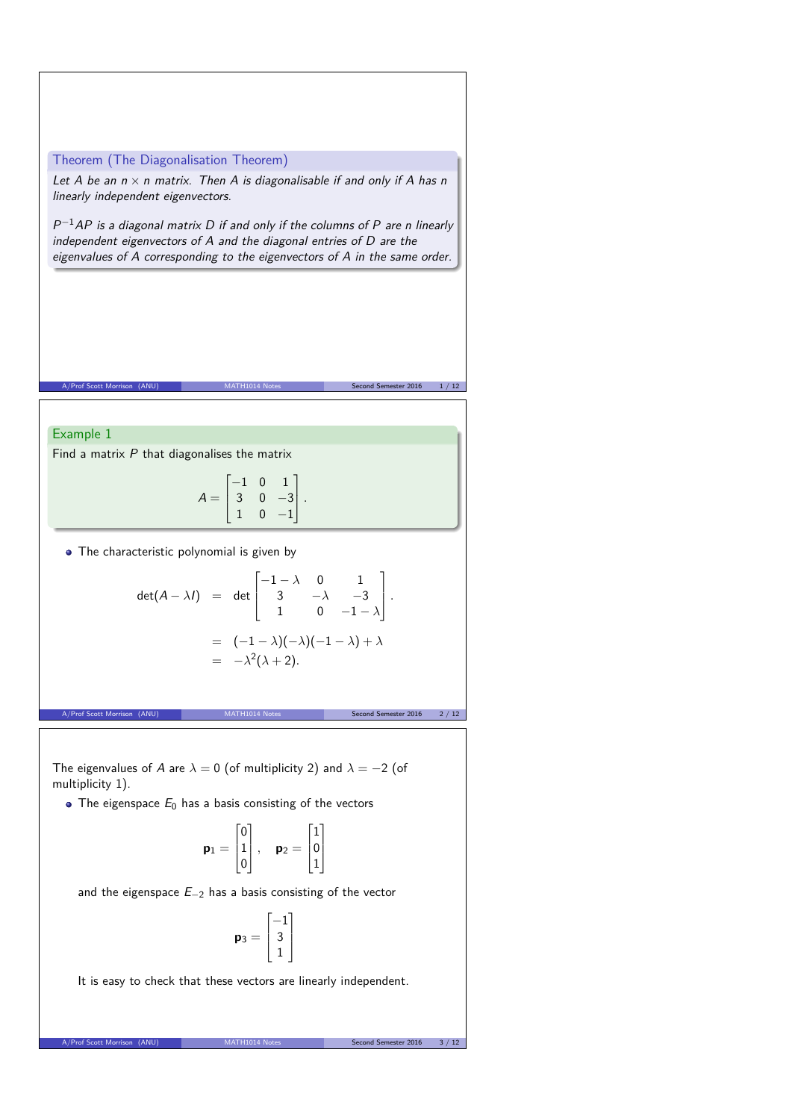## Theorem (The Diagonalisation Theorem)

Let A be an  $n \times n$  matrix. Then A is diagonalisable if and only if A has n linearly independent eigenvectors.

 $P^{-1}AP$  is a diagonal matrix D if and only if the columns of P are n linearly independent eigenvectors of A and the diagonal entries of D are the eigenvalues of A corresponding to the eigenvectors of A in the same order.

## Example 1

Find a matrix  $P$  that diagonalises the matrix

$$
A = \begin{bmatrix} -1 & 0 & 1 \\ 3 & 0 & -3 \\ 1 & 0 & -1 \end{bmatrix}.
$$

A/Prof Scott Morrison (ANU) MATH1014 Notes Second Semester 2016 1/12

• The characteristic polynomial is given by

$$
\det(A - \lambda I) = \det \begin{bmatrix} -1 - \lambda & 0 & 1 \\ 3 & -\lambda & -3 \\ 1 & 0 & -1 - \lambda \end{bmatrix}.
$$

$$
= (-1 - \lambda)(-\lambda)(-1 - \lambda) + \lambda
$$

$$
= -\lambda^2(\lambda + 2).
$$

A/Prof Scott Morrison (ANU) MATH1014 Notes Second Semester 2016 2/12

The eigenvalues of A are  $\lambda = 0$  (of multiplicity 2) and  $\lambda = -2$  (of multiplicity 1).

 $\bullet$  The eigenspace  $E_0$  has a basis consisting of the vectors

$$
\textbf{p}_1 = \begin{bmatrix} 0 \\ 1 \\ 0 \end{bmatrix}, \quad \textbf{p}_2 = \begin{bmatrix} 1 \\ 0 \\ 1 \end{bmatrix}
$$

and the eigenspace E−<sup>2</sup> has a basis consisting of the vector

$$
\mathbf{p}_3 = \begin{bmatrix} -1 \\ 3 \\ 1 \end{bmatrix}
$$

It is easy to check that these vectors are linearly independent.

A/Prof Scott Morrison (ANU) MATH1014 Notes Second Semester 2016 3 / 12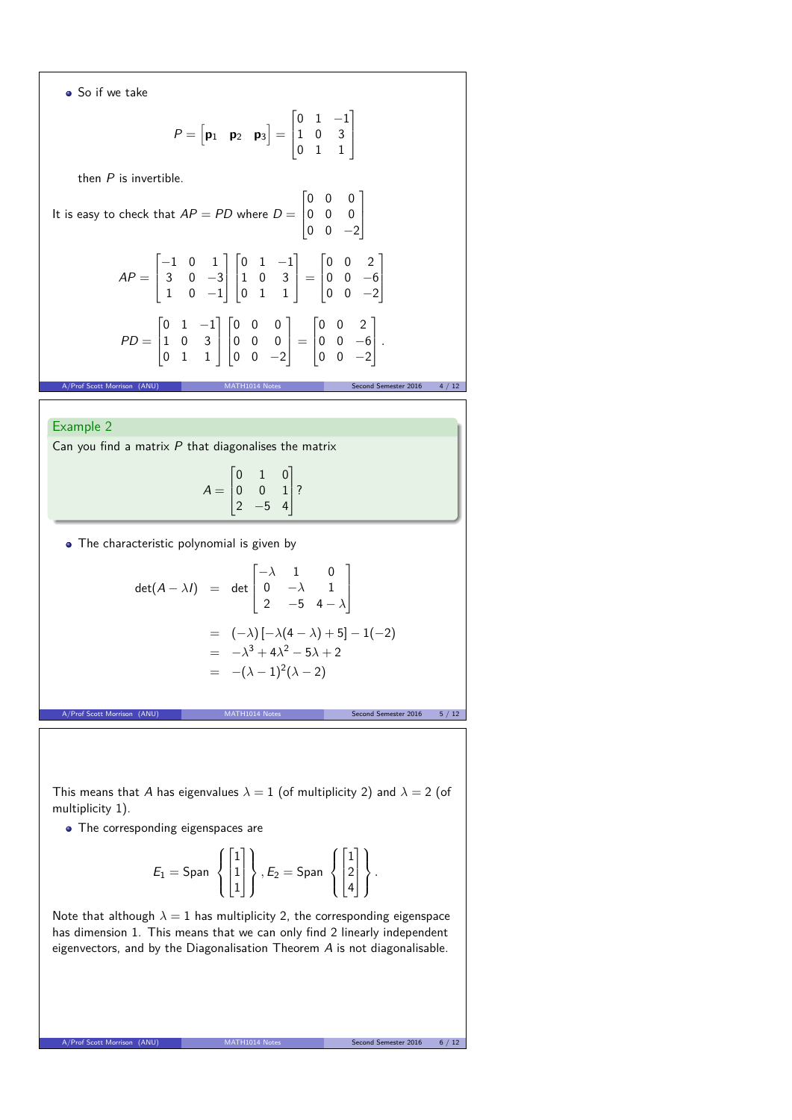So if we take

$$
P = \begin{bmatrix} \mathbf{p}_1 & \mathbf{p}_2 & \mathbf{p}_3 \end{bmatrix} = \begin{bmatrix} 0 & 1 & -1 \\ 1 & 0 & 3 \\ 0 & 1 & 1 \end{bmatrix}
$$

then  $P$  is invertible.

It is easy to check that 
$$
AP = PD
$$
 where  $D = \begin{bmatrix} 0 & 0 & 0 \\ 0 & 0 & 0 \\ 0 & 0 & -2 \end{bmatrix}$   
\n
$$
AP = \begin{bmatrix} -1 & 0 & 1 \\ 3 & 0 & -3 \\ 1 & 0 & -1 \end{bmatrix} \begin{bmatrix} 0 & 1 & -1 \\ 1 & 0 & 3 \\ 0 & 1 & 1 \end{bmatrix} = \begin{bmatrix} 0 & 0 & 2 \\ 0 & 0 & -6 \\ 0 & 0 & -2 \end{bmatrix}
$$
\n
$$
PD = \begin{bmatrix} 0 & 1 & -1 \\ 1 & 0 & 3 \\ 0 & 1 & 1 \end{bmatrix} \begin{bmatrix} 0 & 0 & 0 \\ 0 & 0 & 0 \\ 0 & 0 & -2 \end{bmatrix} = \begin{bmatrix} 0 & 0 & 2 \\ 0 & 0 & -6 \\ 0 & 0 & -2 \end{bmatrix}.
$$

## Example 2

Can you find a matrix  $P$  that diagonalises the matrix

$$
A = \begin{bmatrix} 0 & 1 & 0 \\ 0 & 0 & 1 \\ 2 & -5 & 4 \end{bmatrix}
$$
?

A/Prof Scott Morrison (ANU) MATH1014 Notes Second Semester 2016 4 / 12

• The characteristic polynomial is given by

$$
\det(A - \lambda I) = \det \begin{bmatrix} -\lambda & 1 & 0 \\ 0 & -\lambda & 1 \\ 2 & -5 & 4 - \lambda \end{bmatrix}
$$

$$
= (-\lambda) [-\lambda(4 - \lambda) + 5] - 1(-2)
$$

$$
= -\lambda^3 + 4\lambda^2 - 5\lambda + 2
$$

$$
= -(\lambda - 1)^2(\lambda - 2)
$$

A/Prof Scott Morrison (ANU) MATH1014 Notes Second Semester 2016 5/12

This means that A has eigenvalues  $\lambda = 1$  (of multiplicity 2) and  $\lambda = 2$  (of multiplicity 1).

• The corresponding eigenspaces are

$$
E_1 = \text{Span } \left\{ \begin{bmatrix} 1 \\ 1 \\ 1 \end{bmatrix} \right\}, E_2 = \text{Span } \left\{ \begin{bmatrix} 1 \\ 2 \\ 4 \end{bmatrix} \right\}.
$$

Note that although  $\lambda = 1$  has multiplicity 2, the corresponding eigenspace has dimension 1. This means that we can only find 2 linearly independent eigenvectors, and by the Diagonalisation Theorem A is not diagonalisable.

A/Prof Scott Morrison (ANU) MATH1014 Notes Second Semester 2016 6 / 12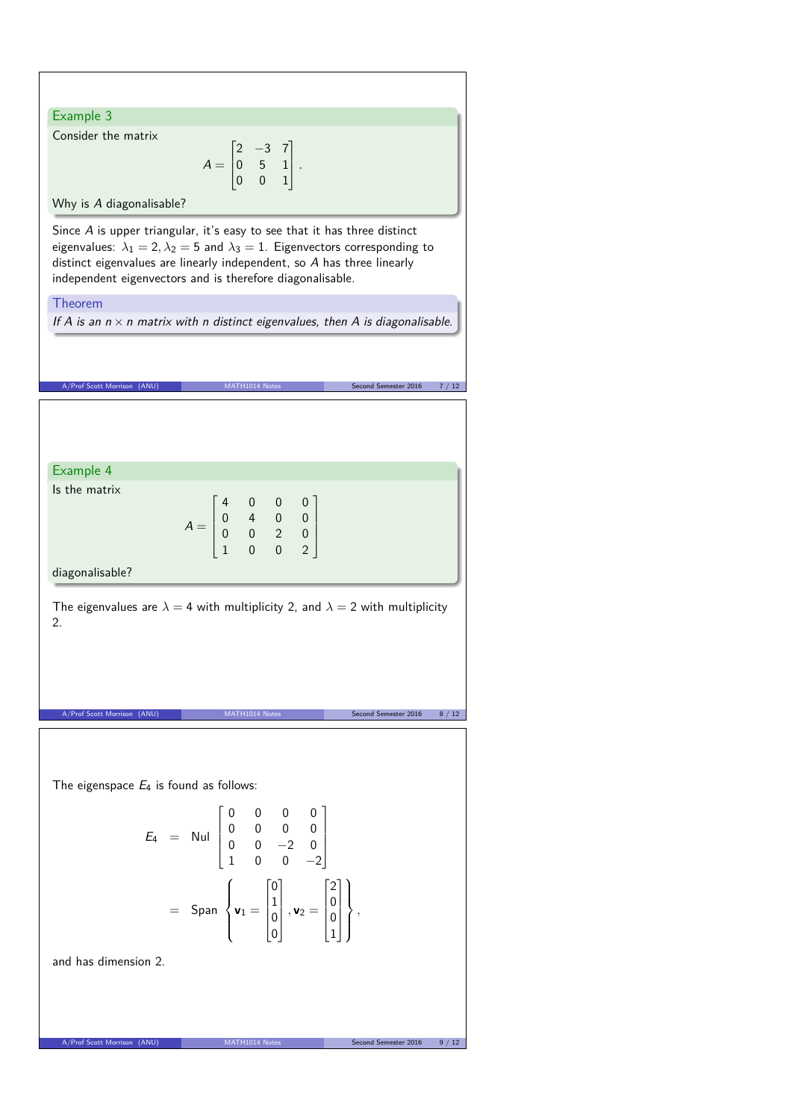